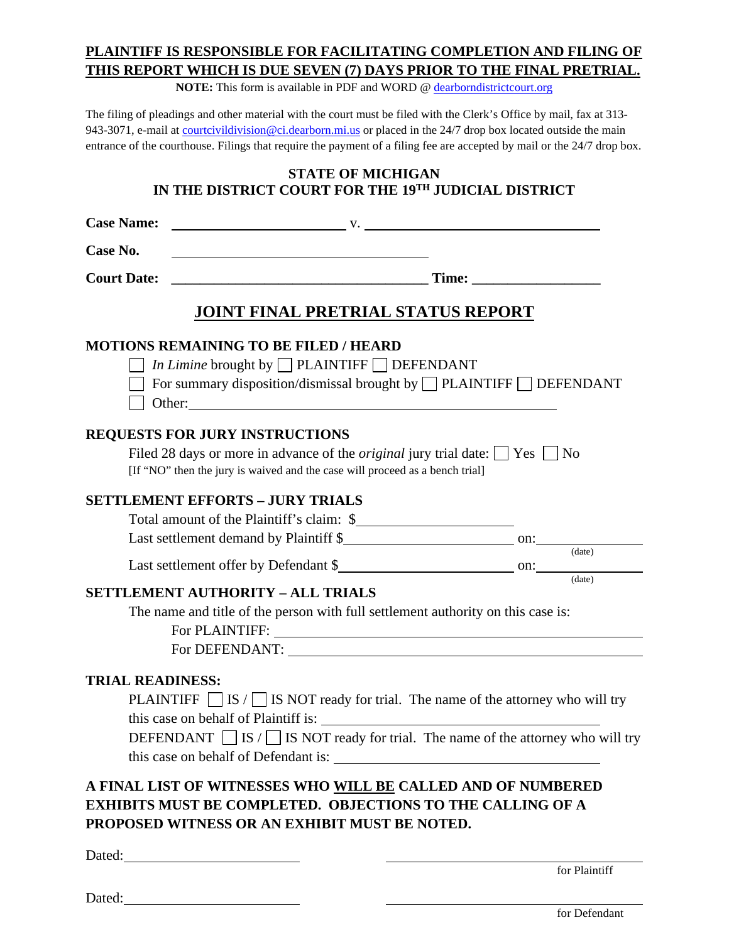# **PLAINTIFF IS RESPONSIBLE FOR FACILITATING COMPLETION AND FILING OF THIS REPORT WHICH IS DUE SEVEN (7) DAYS PRIOR TO THE FINAL PRETRIAL.**

**NOTE:** This form is available in PDF and WORD @ [dearborndistrictcourt.org](http://www.cityofdearborn.org/government/19th-district-court)

The filing of pleadings and other material with the court must be filed with the Clerk's Office by mail, fax at 313 943-3071, e-mail at [courtcivildivision@ci.dearborn.mi.us](mailto:courtcivildivision@ci.dearborn.mi.us) or placed in the 24/7 drop box located outside the main entrance of the courthouse. Filings that require the payment of a filing fee are accepted by mail or the 24/7 drop box.

## **STATE OF MICHIGAN IN THE DISTRICT COURT FOR THE 19TH JUDICIAL DISTRICT**

| Case Name: $\frac{V}{V}$                                                                                                                                                                                               |                                                                                                                                                                                                                                         |  |  |
|------------------------------------------------------------------------------------------------------------------------------------------------------------------------------------------------------------------------|-----------------------------------------------------------------------------------------------------------------------------------------------------------------------------------------------------------------------------------------|--|--|
| Case No.<br><u> 1980 - Johann Barn, mars eta bainar eta bat erroman erroman erroman erroman erroman erroman erroman erroman</u>                                                                                        |                                                                                                                                                                                                                                         |  |  |
| <b>Court Date:</b>                                                                                                                                                                                                     |                                                                                                                                                                                                                                         |  |  |
| <b>JOINT FINAL PRETRIAL STATUS REPORT</b>                                                                                                                                                                              |                                                                                                                                                                                                                                         |  |  |
| <b>MOTIONS REMAINING TO BE FILED / HEARD</b><br><i>In Limine</i> brought by $\Box$ PLAINTIFF $\Box$ DEFENDANT                                                                                                          | For summary disposition/dismissal brought by $\Box$ PLAINTIFF $\Box$ DEFENDANT                                                                                                                                                          |  |  |
| <b>REQUESTS FOR JURY INSTRUCTIONS</b><br>Filed 28 days or more in advance of the <i>original</i> jury trial date: $\Box$ Yes $\Box$ No<br>[If "NO" then the jury is waived and the case will proceed as a bench trial] |                                                                                                                                                                                                                                         |  |  |
| <b>SETTLEMENT EFFORTS - JURY TRIALS</b>                                                                                                                                                                                |                                                                                                                                                                                                                                         |  |  |
| Total amount of the Plaintiff's claim: \$                                                                                                                                                                              |                                                                                                                                                                                                                                         |  |  |
|                                                                                                                                                                                                                        |                                                                                                                                                                                                                                         |  |  |
|                                                                                                                                                                                                                        |                                                                                                                                                                                                                                         |  |  |
| <b>SETTLEMENT AUTHORITY - ALL TRIALS</b>                                                                                                                                                                               | (date)                                                                                                                                                                                                                                  |  |  |
| The name and title of the person with full settlement authority on this case is:                                                                                                                                       |                                                                                                                                                                                                                                         |  |  |
|                                                                                                                                                                                                                        | For DEFENDANT: Next Assembly the Contract of the Contract of the Contract of the Contract of the Contract of the Contract of the Contract of the Contract of the Contract of the Contract of the Contract of the Contract of t          |  |  |
| <b>TRIAL READINESS:</b><br>this case on behalf of Plaintiff is:                                                                                                                                                        | <b>PLAINTIFF</b> $\Box$ IS / $\Box$ IS NOT ready for trial. The name of the attorney who will try<br>DEFENDANT $\Box$ IS / $\Box$ IS NOT ready for trial. The name of the attorney who will try<br>this case on behalf of Defendant is: |  |  |
| A FINAL LIST OF WITNESSES WHO WILL BE CALLED AND OF NUMBERED<br><b>EXHIBITS MUST BE COMPLETED. OBJECTIONS TO THE CALLING OF A</b><br>PROPOSED WITNESS OR AN EXHIBIT MUST BE NOTED.                                     |                                                                                                                                                                                                                                         |  |  |

Dated: <u>for Plaintiff</u>

Dated: <u>for Defendant</u>